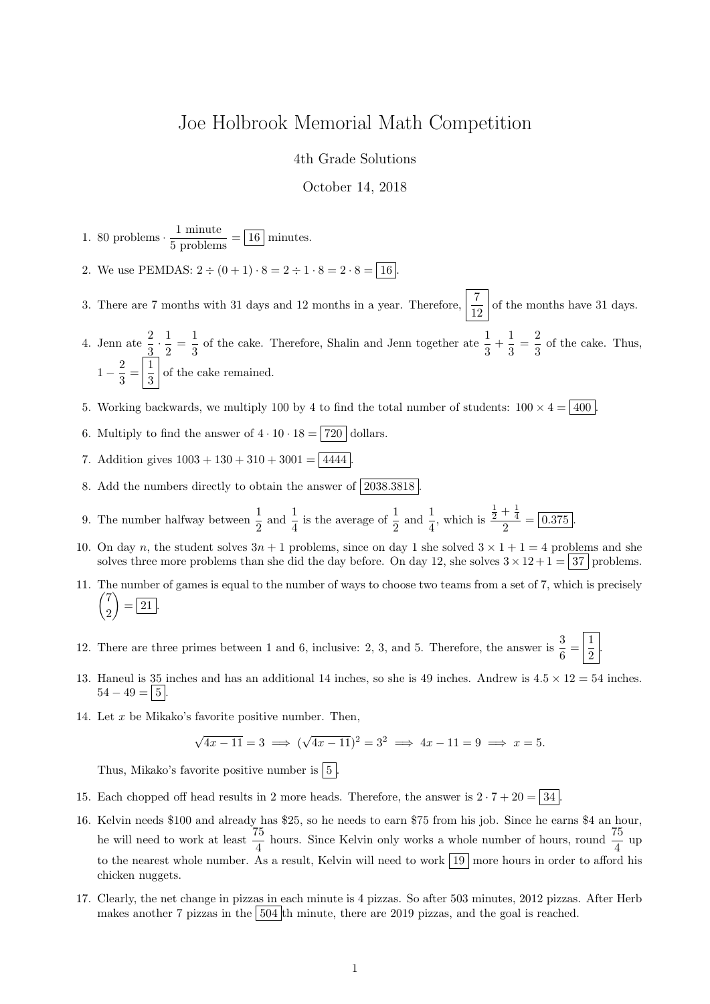## Joe Holbrook Memorial Math Competition

4th Grade Solutions

October 14, 2018

1. 80 problems  $\cdot \frac{1 \text{ minute}}{5 \text{ problems}} = \boxed{16}$  minutes.

- 2. We use PEMDAS:  $2 \div (0 + 1) \cdot 8 = 2 \div 1 \cdot 8 = 2 \cdot 8 = \boxed{16}$
- 3. There are 7 months with 31 days and 12 months in a year. Therefore,  $\frac{7}{12}$  of the months have 31 days.
- 4. Jenn ate  $\frac{2}{3} \cdot \frac{1}{2}$  $\frac{1}{2} = \frac{1}{3}$  $\frac{1}{3}$  of the cake. Therefore, Shalin and Jenn together ate  $\frac{1}{3} + \frac{1}{3}$  $\frac{1}{3} = \frac{2}{3}$  $\frac{2}{3}$  of the cake. Thus,  $1-\frac{2}{2}$  $\frac{2}{3} = \left| \frac{1}{3} \right|$  $\frac{1}{3}$  of the cake remained.
- 5. Working backwards, we multiply 100 by 4 to find the total number of students:  $100 \times 4 = |400|$
- 6. Multiply to find the answer of  $4 \cdot 10 \cdot 18 = 720$  dollars.
- 7. Addition gives  $1003 + 130 + 310 + 3001 = 4444$
- 8. Add the numbers directly to obtain the answer of  $\sqrt{2038.3818}$
- 9. The number halfway between  $\frac{1}{2}$  and  $\frac{1}{4}$  is the average of  $\frac{1}{2}$  and  $\frac{1}{4}$ , which is  $rac{1}{2} + \frac{1}{4}$  $\frac{4}{2} = \boxed{0.375}$ .
- 10. On day n, the student solves  $3n + 1$  problems, since on day 1 she solved  $3 \times 1 + 1 = 4$  problems and she solves three more problems than she did the day before. On day 12, she solves  $3 \times 12 + 1 = 37$  problems.
- 11. The number of games is equal to the number of ways to choose two teams from a set of 7, which is precisely  $(7)$ 2  $\Big) = \boxed{21}.$
- 12. There are three primes between 1 and 6, inclusive: 2, 3, and 5. Therefore, the answer is  $\frac{3}{6} = \frac{1}{2}$ 2
- 13. Haneul is 35 inches and has an additional 14 inches, so she is 49 inches. Andrew is  $4.5 \times 12 = 54$  inches.  $54 - 49 = | 5 |$ .

.

14. Let  $x$  be Mikako's favorite positive number. Then,

$$
\sqrt{4x-11} = 3 \implies (\sqrt{4x-11})^2 = 3^2 \implies 4x - 11 = 9 \implies x = 5.
$$

Thus, Mikako's favorite positive number is  $\boxed{5}$ .

- 15. Each chopped off head results in 2 more heads. Therefore, the answer is  $2 \cdot 7 + 20 = |34|$
- 16. Kelvin needs \$100 and already has \$25, so he needs to earn \$75 from his job. Since he earns \$4 an hour, he will need to work at least  $\frac{75}{4}$  hours. Since Kelvin only works a whole number of hours, round  $\frac{75}{4}$  up to the nearest whole number. As a result, Kelvin will need to work  $\boxed{19}$  more hours in order to afford his chicken nuggets.
- 17. Clearly, the net change in pizzas in each minute is 4 pizzas. So after 503 minutes, 2012 pizzas. After Herb makes another 7 pizzas in the 504 th minute, there are 2019 pizzas, and the goal is reached.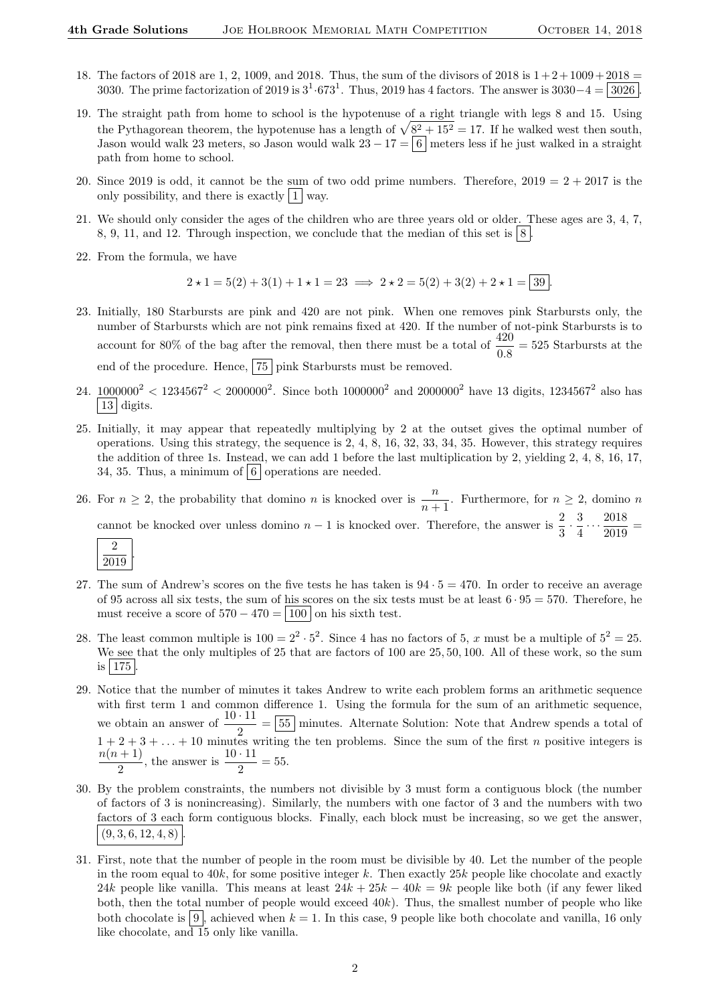- 18. The factors of 2018 are 1, 2, 1009, and 2018. Thus, the sum of the divisors of 2018 is  $1+2+1009+2018$ 3030. The prime factorization of 2019 is  $3^1.673^1$ . Thus, 2019 has 4 factors. The answer is  $3030-4 = 3026$ .
- 19. The straight path from home to school is the hypotenuse of a right triangle with legs 8 and 15. Using the Pythagorean theorem, the hypotenuse has a length of  $\sqrt{8^2 + 15^2} = 17$ . If he walked west then south, Jason would walk 23 meters, so Jason would walk  $23 - 17 = 6$  meters less if he just walked in a straight path from home to school.
- 20. Since 2019 is odd, it cannot be the sum of two odd prime numbers. Therefore,  $2019 = 2 + 2017$  is the only possibility, and there is exactly  $|1|$  way.
- 21. We should only consider the ages of the children who are three years old or older. These ages are 3, 4, 7, 8, 9, 11, and 12. Through inspection, we conclude that the median of this set is  $|8|$ .
- 22. From the formula, we have

$$
2 \star 1 = 5(2) + 3(1) + 1 \star 1 = 23 \implies 2 \star 2 = 5(2) + 3(2) + 2 \star 1 = \boxed{39}.
$$

- 23. Initially, 180 Starbursts are pink and 420 are not pink. When one removes pink Starbursts only, the number of Starbursts which are not pink remains fixed at 420. If the number of not-pink Starbursts is to account for 80% of the bag after the removal, then there must be a total of  $\frac{420}{0.8} = 525$  Starbursts at the end of the procedure. Hence, 75 pink Starbursts must be removed.
- 24.  $1000000^2 < 1234567^2 < 2000000^2$ . Since both  $1000000^2$  and  $2000000^2$  have 13 digits,  $1234567^2$  also has | 13 digits.
- 25. Initially, it may appear that repeatedly multiplying by 2 at the outset gives the optimal number of operations. Using this strategy, the sequence is 2, 4, 8, 16, 32, 33, 34, 35. However, this strategy requires the addition of three 1s. Instead, we can add 1 before the last multiplication by 2, yielding 2, 4, 8, 16, 17, 34, 35. Thus, a minimum of  $\vert 6 \vert$  operations are needed.
- 26. For  $n \geq 2$ , the probability that domino n is knocked over is  $\frac{n}{n+1}$ . Furthermore, for  $n \geq 2$ , domino n cannot be knocked over unless domino  $n-1$  is knocked over. Therefore, the answer is  $\frac{2}{3} \cdot \frac{3}{4}$  $\frac{3}{4} \cdots \frac{2018}{2019}$  $rac{2010}{2019}$  =

$$
\frac{2}{2019}
$$

.

- 27. The sum of Andrew's scores on the five tests he has taken is  $94 \cdot 5 = 470$ . In order to receive an average of 95 across all six tests, the sum of his scores on the six tests must be at least  $6 \cdot 95 = 570$ . Therefore, he must receive a score of  $570 - 470 = |100|$  on his sixth test.
- 28. The least common multiple is  $100 = 2^2 \cdot 5^2$ . Since 4 has no factors of 5, x must be a multiple of  $5^2 = 25$ . We see that the only multiples of 25 that are factors of 100 are 25, 50, 100. All of these work, so the sum is  $|175|$
- 29. Notice that the number of minutes it takes Andrew to write each problem forms an arithmetic sequence with first term 1 and common difference 1. Using the formula for the sum of an arithmetic sequence, we obtain an answer of  $\frac{10 \cdot 11}{2} = 55$  minutes. Alternate Solution: Note that Andrew spends a total of  $1 + 2 + 3 + \ldots + 10$  minutes writing the ten problems. Since the sum of the first n positive integers is  $n(n+1)$  $\frac{+1}{2}$ , the answer is  $\frac{10 \cdot 11}{2} = 55$ .
- 30. By the problem constraints, the numbers not divisible by 3 must form a contiguous block (the number of factors of 3 is nonincreasing). Similarly, the numbers with one factor of 3 and the numbers with two factors of 3 each form contiguous blocks. Finally, each block must be increasing, so we get the answer,  $(9, 3, 6, 12, 4, 8)$
- 31. First, note that the number of people in the room must be divisible by 40. Let the number of the people in the room equal to  $40k$ , for some positive integer k. Then exactly  $25k$  people like chocolate and exactly 24k people like vanilla. This means at least  $24k + 25k - 40k = 9k$  people like both (if any fewer liked both, then the total number of people would exceed  $40k$ ). Thus, the smallest number of people who like both chocolate is  $\boxed{9}$ , achieved when  $k = 1$ . In this case, 9 people like both chocolate and vanilla, 16 only like chocolate, and 15 only like vanilla.